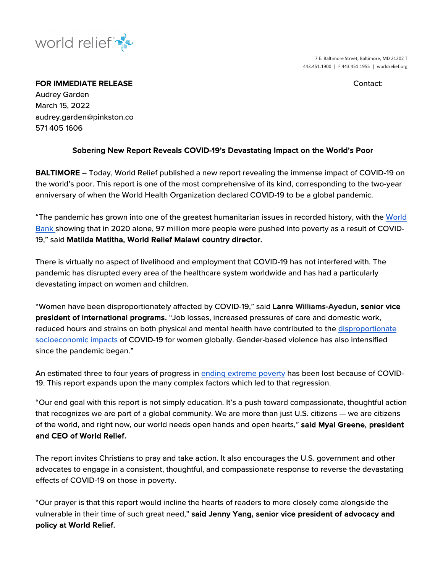

7 E. Baltimore Street, Baltimore, MD 21202 T 443.451.1900 | F 443.451.1955 | worldrelief.org

## FOR IMMEDIATE RELEASE **CONTACT IN A SECOND CONTACT CONTACT**

Audrey Garden March 15, 2022 audrey.garden@pinkston.co 571 405 1606

## Sobering New Report Reveals COVID-19's Devastating Impact on the World's Poor

BALTIMORE – Today, World Relief published a new report revealing the immense impact of COVID-19 on the world's poor. This report is one of the most comprehensive of its kind, corresponding to the two-year anniversary of when the World Health Organization declared COVID-19 to be a global pandemic.

"The pandemic has grown into one of the greatest humanitarian issues in recorded history, with the World Bank showing that in 2020 alone, 97 million more people were pushed into poverty as a result of COVID-19," said Matilda Matitha, World Relief Malawi country director.

There is virtually no aspect of livelihood and employment that COVID-19 has not interfered with. The pandemic has disrupted every area of the healthcare system worldwide and has had a particularly devastating impact on women and children.

"Women have been disproportionately affected by COVID-19," said Lanre Williams-Ayedun, senior vice president of international programs. "Job losses, increased pressures of care and domestic work, reduced hours and strains on both physical and mental health have contributed to the disproportionate socioeconomic impacts of COVID-19 for women globally. Gender-based violence has also intensified since the pandemic began."

An estimated three to four years of progress in ending extreme poverty has been lost because of COVID-19. This report expands upon the many complex factors which led to that regression.

"Our end goal with this report is not simply education. It's a push toward compassionate, thoughtful action that recognizes we are part of a global community. We are more than just U.S. citizens — we are citizens of the world, and right now, our world needs open hands and open hearts," said Myal Greene, president and CEO of World Relief.

The report invites Christians to pray and take action. It also encourages the U.S. government and other advocates to engage in a consistent, thoughtful, and compassionate response to reverse the devastating effects of COVID-19 on those in poverty.

"Our prayer is that this report would incline the hearts of readers to more closely come alongside the vulnerable in their time of such great need," said Jenny Yang, senior vice president of advocacy and policy at World Relief.